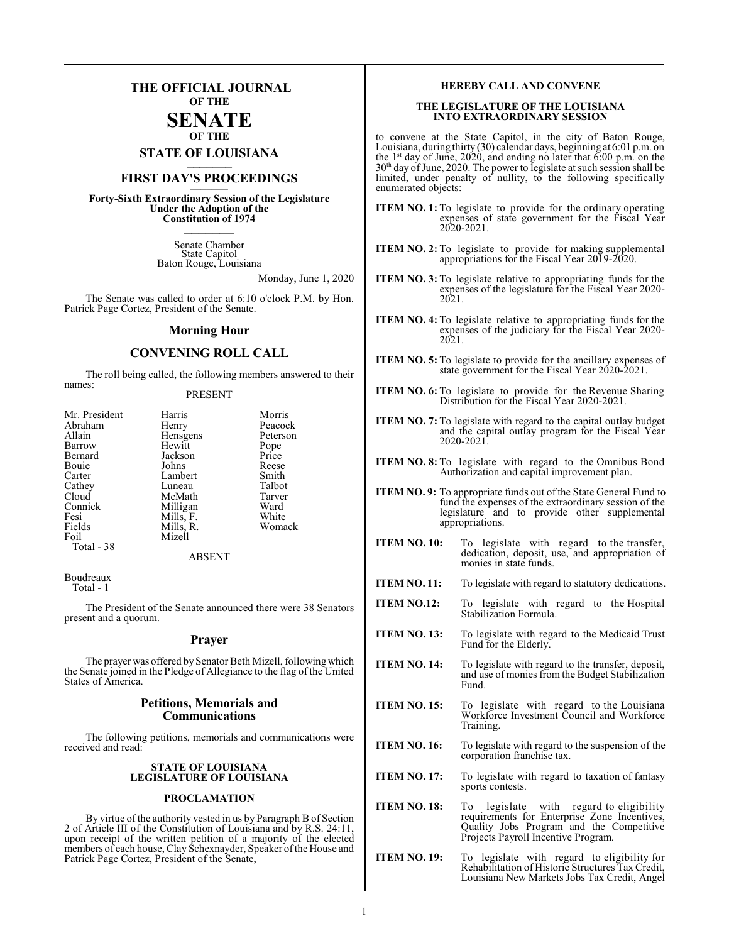## **THE OFFICIAL JOURNAL OF THE**

### **SENATE OF THE**

**STATE OF LOUISIANA \_\_\_\_\_\_\_**

## **FIRST DAY'S PROCEEDINGS \_\_\_\_\_\_\_**

**Forty-Sixth Extraordinary Session of the Legislature Under the Adoption of the Constitution of 1974 \_\_\_\_\_\_\_**

> Senate Chamber State Capitol Baton Rouge, Louisiana

> > Monday, June 1, 2020

The Senate was called to order at 6:10 o'clock P.M. by Hon. Patrick Page Cortez, President of the Senate.

#### **Morning Hour**

#### **CONVENING ROLL CALL**

The roll being called, the following members answered to their names:

#### PRESENT

| Mr. President | Harris        | Morris   |
|---------------|---------------|----------|
| Abraham       | Henry         | Peacock  |
| Allain        | Hensgens      | Peterson |
| Barrow        | Hewitt        | Pope     |
| Bernard       | Jackson       | Price    |
| Bouie         | Johns         | Reese    |
| Carter        | Lambert       | Smith    |
| Cathey        | Luneau        | Talbot   |
| Cloud         | McMath        | Tarver   |
| Connick       | Milligan      | Ward     |
| Fesi          | Mills, F.     | White    |
| Fields        | Mills, R.     | Womack   |
| Foil          | Mizell        |          |
| Total - 38    |               |          |
|               | <b>ADCENT</b> |          |

ABSENT

Boudreaux Total - 1

The President of the Senate announced there were 38 Senators present and a quorum.

#### **Prayer**

The prayer was offered by Senator Beth Mizell, following which the Senate joined in the Pledge of Allegiance to the flag of the United States of America.

#### **Petitions, Memorials and Communications**

The following petitions, memorials and communications were received and read:

#### **STATE OF LOUISIANA LEGISLATURE OF LOUISIANA**

#### **PROCLAMATION**

By virtue ofthe authority vested in us by Paragraph B of Section 2 of Article III of the Constitution of Louisiana and by R.S. 24:11, upon receipt of the written petition of a majority of the elected members of each house, Clay Schexnayder, Speaker ofthe House and Patrick Page Cortez, President of the Senate,

#### **HEREBY CALL AND CONVENE**

#### **THE LEGISLATURE OF THE LOUISIANA INTO EXTRAORDINARY SESSION**

to convene at the State Capitol, in the city of Baton Rouge, Louisiana, during thirty (30) calendar days, beginning at 6:01 p.m. on the 1 st day of June, 2020, and ending no later that 6:00 p.m. on the 30th day ofJune, 2020. The power to legislate at such session shall be limited, under penalty of nullity, to the following specifically enumerated objects:

- **ITEM NO. 1:** To legislate to provide for the ordinary operating expenses of state government for the Fiscal Year 2020-2021.
- **ITEM NO. 2:** To legislate to provide for making supplemental appropriations for the Fiscal Year 2019-2020.
- **ITEM NO. 3:** To legislate relative to appropriating funds for the expenses of the legislature for the Fiscal Year 2020- 2021
- **ITEM NO. 4:** To legislate relative to appropriating funds for the expenses of the judiciary for the Fiscal Year 2020- 2021.
- **ITEM NO. 5:** To legislate to provide for the ancillary expenses of state government for the Fiscal Year 2020-2021.
- **ITEM NO. 6:** To legislate to provide for the Revenue Sharing Distribution for the Fiscal Year 2020-2021.
- **ITEM NO. 7:** To legislate with regard to the capital outlay budget and the capital outlay program for the Fiscal Year 2020-2021.
- **ITEM NO. 8:** To legislate with regard to the Omnibus Bond Authorization and capital improvement plan.
- **ITEM NO. 9:** To appropriate funds out of the State General Fund to fund the expenses of the extraordinary session of the legislature and to provide other supplemental appropriations.
- **ITEM NO. 10:** To legislate with regard to the transfer, dedication, deposit, use, and appropriation of monies in state funds.
- **ITEM NO. 11:** To legislate with regard to statutory dedications.
- **ITEM NO.12:** To legislate with regard to the Hospital Stabilization Formula.
- **ITEM NO. 13:** To legislate with regard to the Medicaid Trust Fund for the Elderly.
- **ITEM NO. 14:** To legislate with regard to the transfer, deposit, and use of monies from the Budget Stabilization Fund.
- **ITEM NO. 15:** To legislate with regard to the Louisiana Workforce Investment Council and Workforce Training.
- **ITEM NO. 16:** To legislate with regard to the suspension of the corporation franchise tax.
- **ITEM NO. 17:** To legislate with regard to taxation of fantasy sports contests.
- **ITEM NO. 18:** To legislate with regard to eligibility requirements for Enterprise Zone Incentives, Quality Jobs Program and the Competitive Projects Payroll Incentive Program.
- **ITEM NO. 19:** To legislate with regard to eligibility for Rehabilitation of Historic Structures Tax Credit, Louisiana New Markets Jobs Tax Credit, Angel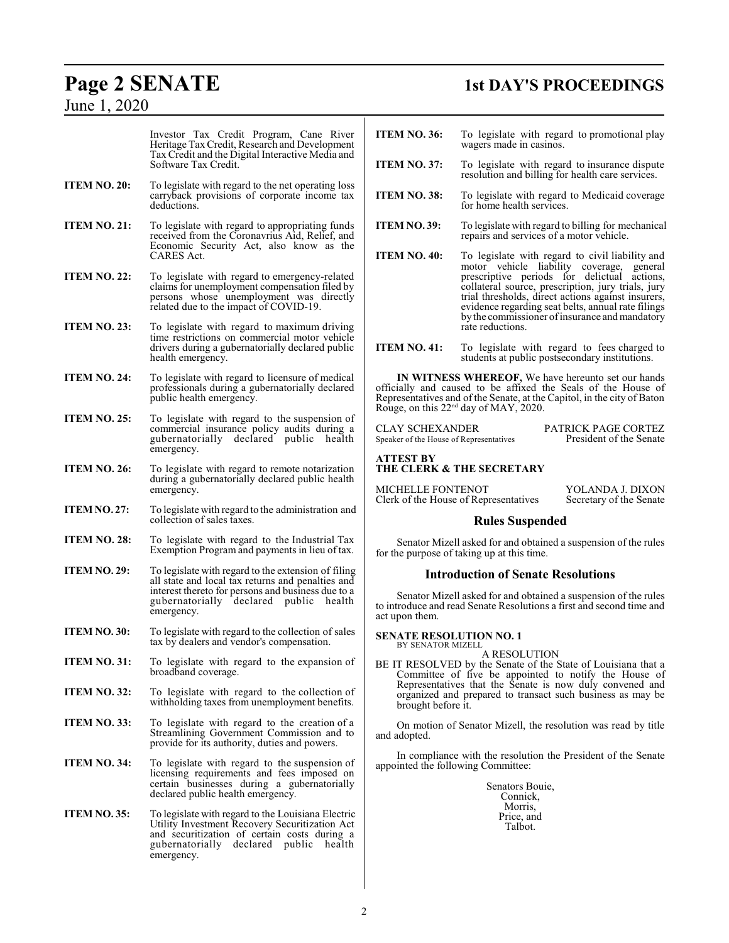## June 1, 2020

# **Page 2 SENATE 1st DAY'S PROCEEDINGS**

|                     | Investor Tax Credit Program, Cane River<br>Heritage Tax Credit, Research and Development<br>Tax Credit and the Digital Interactive Media and<br>Software Tax Credit.                                         | <b>ITEM NO. 36:</b>                                                                                                                                                                                                                                                                    | To legislate with regard to promotional play<br>wagers made in casinos.                                                                                                                                                                                                                                                                                         |  |
|---------------------|--------------------------------------------------------------------------------------------------------------------------------------------------------------------------------------------------------------|----------------------------------------------------------------------------------------------------------------------------------------------------------------------------------------------------------------------------------------------------------------------------------------|-----------------------------------------------------------------------------------------------------------------------------------------------------------------------------------------------------------------------------------------------------------------------------------------------------------------------------------------------------------------|--|
|                     |                                                                                                                                                                                                              | <b>ITEM NO. 37:</b>                                                                                                                                                                                                                                                                    | To legislate with regard to insurance dispute<br>resolution and billing for health care services.                                                                                                                                                                                                                                                               |  |
| ITEM NO. 20:        | To legislate with regard to the net operating loss<br>carryback provisions of corporate income tax<br>deductions.                                                                                            | <b>ITEM NO. 38:</b>                                                                                                                                                                                                                                                                    | To legislate with regard to Medicaid coverage<br>for home health services.                                                                                                                                                                                                                                                                                      |  |
| <b>ITEM NO. 21:</b> | To legislate with regard to appropriating funds<br>received from the Coronavrius Aid, Relief, and<br>Economic Security Act, also know as the                                                                 | <b>ITEM NO. 39:</b>                                                                                                                                                                                                                                                                    | To legislate with regard to billing for mechanical<br>repairs and services of a motor vehicle.                                                                                                                                                                                                                                                                  |  |
| <b>ITEM NO. 22:</b> | CARES Act.<br>To legislate with regard to emergency-related<br>claims for unemployment compensation filed by<br>persons whose unemployment was directly<br>related due to the impact of COVID-19.            | <b>ITEM NO. 40:</b>                                                                                                                                                                                                                                                                    | To legislate with regard to civil liability and<br>motor vehicle liability coverage, general<br>prescriptive periods for delictual actions,<br>collateral source, prescription, jury trials, jury<br>trial thresholds, direct actions against insurers,<br>evidence regarding seat belts, annual rate filings<br>by the commissioner of insurance and mandatory |  |
| <b>ITEM NO. 23:</b> | To legislate with regard to maximum driving<br>time restrictions on commercial motor vehicle<br>drivers during a gubernatorially declared public<br>health emergency.                                        | <b>ITEM NO. 41:</b>                                                                                                                                                                                                                                                                    | rate reductions.<br>To legislate with regard to fees charged to<br>students at public postsecondary institutions.                                                                                                                                                                                                                                               |  |
| <b>ITEM NO. 24:</b> | To legislate with regard to licensure of medical<br>professionals during a gubernatorially declared<br>public health emergency.                                                                              | IN WITNESS WHEREOF, We have hereunto set our hands<br>officially and caused to be affixed the Seals of the House of<br>Representatives and of the Senate, at the Capitol, in the city of Baton<br>Rouge, on this 22 <sup>nd</sup> day of MAY, 2020.                                    |                                                                                                                                                                                                                                                                                                                                                                 |  |
| <b>ITEM NO. 25:</b> | To legislate with regard to the suspension of<br>commercial insurance policy audits during a<br>gubernatorially declared public health<br>emergency.                                                         | <b>CLAY SCHEXANDER</b><br>PATRICK PAGE CORTEZ<br>President of the Senate<br>Speaker of the House of Representatives                                                                                                                                                                    |                                                                                                                                                                                                                                                                                                                                                                 |  |
| ITEM NO. 26:        | To legislate with regard to remote notarization<br>during a gubernatorially declared public health<br>emergency.                                                                                             | <b>ATTEST BY</b><br><b>THE CLERK &amp; THE SECRETARY</b><br><b>MICHELLE FONTENOT</b><br>YOLANDA J. DIXON<br>Clerk of the House of Representatives                                                                                                                                      |                                                                                                                                                                                                                                                                                                                                                                 |  |
| ITEM NO. 27:        | To legislate with regard to the administration and<br>collection of sales taxes.                                                                                                                             |                                                                                                                                                                                                                                                                                        | Secretary of the Senate<br><b>Rules Suspended</b>                                                                                                                                                                                                                                                                                                               |  |
|                     |                                                                                                                                                                                                              |                                                                                                                                                                                                                                                                                        |                                                                                                                                                                                                                                                                                                                                                                 |  |
| <b>ITEM NO. 28:</b> | To legislate with regard to the Industrial Tax<br>Exemption Program and payments in lieu of tax.                                                                                                             | Senator Mizell asked for and obtained a suspension of the rules<br>for the purpose of taking up at this time.                                                                                                                                                                          |                                                                                                                                                                                                                                                                                                                                                                 |  |
| ITEM NO. 29:        | To legislate with regard to the extension of filing<br>all state and local tax returns and penalties and                                                                                                     |                                                                                                                                                                                                                                                                                        | <b>Introduction of Senate Resolutions</b>                                                                                                                                                                                                                                                                                                                       |  |
|                     | interest thereto for persons and business due to a<br>gubernatorially declared public health<br>emergency.                                                                                                   | Senator Mizell asked for and obtained a suspension of the rules<br>to introduce and read Senate Resolutions a first and second time and<br>act upon them.                                                                                                                              |                                                                                                                                                                                                                                                                                                                                                                 |  |
| ITEM NO. 30:        | To legislate with regard to the collection of sales<br>tax by dealers and vendor's compensation.                                                                                                             | <b>SENATE RESOLUTION NO. 1</b><br>BY SENATOR MIZELL                                                                                                                                                                                                                                    |                                                                                                                                                                                                                                                                                                                                                                 |  |
| <b>ITEM NO. 31:</b> | To legislate with regard to the expansion of<br>broadband coverage.                                                                                                                                          | A RESOLUTION<br>BE IT RESOLVED by the Senate of the State of Louisiana that a<br>Committee of five be appointed to notify the House of<br>Representatives that the Senate is now duly convened and<br>organized and prepared to transact such business as may be<br>brought before it. |                                                                                                                                                                                                                                                                                                                                                                 |  |
| <b>ITEM NO. 32:</b> | To legislate with regard to the collection of<br>withholding taxes from unemployment benefits.                                                                                                               |                                                                                                                                                                                                                                                                                        |                                                                                                                                                                                                                                                                                                                                                                 |  |
| <b>ITEM NO. 33:</b> | To legislate with regard to the creation of a<br>Streamlining Government Commission and to<br>provide for its authority, duties and powers.                                                                  | and adopted.                                                                                                                                                                                                                                                                           | On motion of Senator Mizell, the resolution was read by title                                                                                                                                                                                                                                                                                                   |  |
| <b>ITEM NO. 34:</b> | To legislate with regard to the suspension of<br>licensing requirements and fees imposed on<br>certain businesses during a gubernatorially<br>declared public health emergency.                              | In compliance with the resolution the President of the Senate<br>appointed the following Committee:<br>Senators Bouie,<br>Connick,                                                                                                                                                     |                                                                                                                                                                                                                                                                                                                                                                 |  |
| ITEM NO. 35:        | To legislate with regard to the Louisiana Electric<br>Utility Investment Recovery Securitization Act<br>and securitization of certain costs during a<br>gubernatorially declared public health<br>emergency. |                                                                                                                                                                                                                                                                                        | Morris,<br>Price, and<br>Talbot.                                                                                                                                                                                                                                                                                                                                |  |
|                     |                                                                                                                                                                                                              |                                                                                                                                                                                                                                                                                        |                                                                                                                                                                                                                                                                                                                                                                 |  |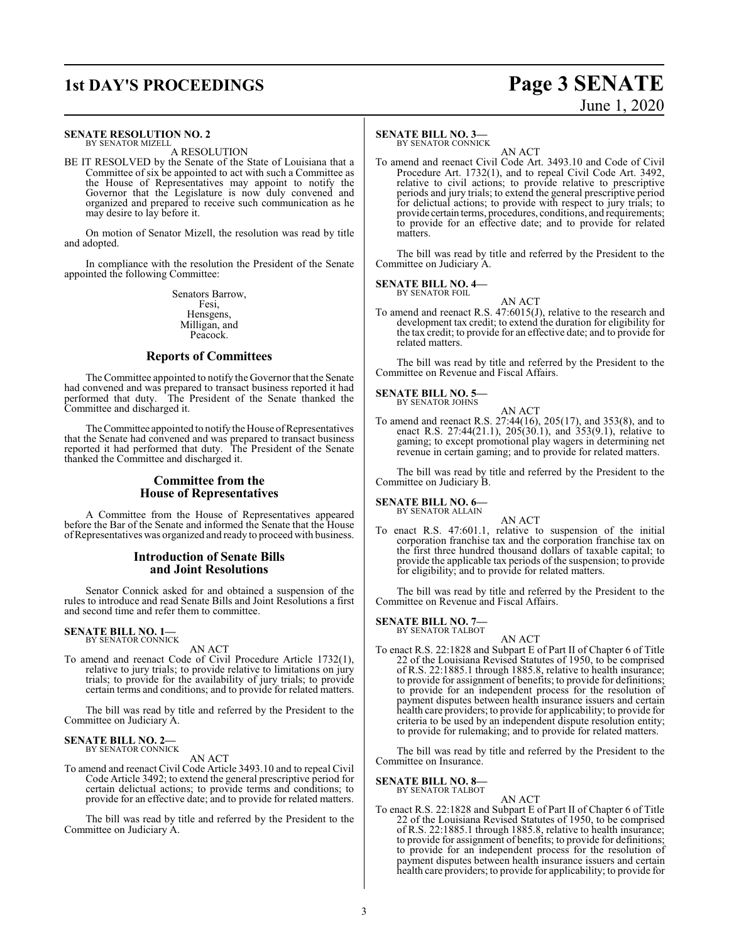#### **SENATE RESOLUTION NO. 2**

BY SENATOR MIZELL A RESOLUTION

BE IT RESOLVED by the Senate of the State of Louisiana that a Committee of six be appointed to act with such a Committee as the House of Representatives may appoint to notify the Governor that the Legislature is now duly convened and organized and prepared to receive such communication as he may desire to lay before it.

On motion of Senator Mizell, the resolution was read by title and adopted.

In compliance with the resolution the President of the Senate appointed the following Committee:

> Senators Barrow, Fesi, Hensgens, Milligan, and Peacock.

#### **Reports of Committees**

The Committee appointed to notify the Governor that the Senate had convened and was prepared to transact business reported it had performed that duty. The President of the Senate thanked the Committee and discharged it.

The Committee appointed to notify the House ofRepresentatives that the Senate had convened and was prepared to transact business reported it had performed that duty. The President of the Senate thanked the Committee and discharged it.

#### **Committee from the House of Representatives**

A Committee from the House of Representatives appeared before the Bar of the Senate and informed the Senate that the House ofRepresentatives was organized and ready to proceed with business.

#### **Introduction of Senate Bills and Joint Resolutions**

Senator Connick asked for and obtained a suspension of the rules to introduce and read Senate Bills and Joint Resolutions a first and second time and refer them to committee.

#### **SENATE BILL NO. 1—** BY SENATOR CONNICK

AN ACT

To amend and reenact Code of Civil Procedure Article 1732(1), relative to jury trials; to provide relative to limitations on jury trials; to provide for the availability of jury trials; to provide certain terms and conditions; and to provide for related matters.

The bill was read by title and referred by the President to the Committee on Judiciary A.

## **SENATE BILL NO. 2—**<br>BY SENATOR CONNICK

AN ACT

To amend and reenact Civil Code Article 3493.10 and to repeal Civil Code Article 3492; to extend the general prescriptive period for certain delictual actions; to provide terms and conditions; to provide for an effective date; and to provide for related matters.

The bill was read by title and referred by the President to the Committee on Judiciary A.

#### **SENATE BILL NO. 3—**

BY SENATOR CONNICK

AN ACT To amend and reenact Civil Code Art. 3493.10 and Code of Civil Procedure Art. 1732(1), and to repeal Civil Code Art. 3492, relative to civil actions; to provide relative to prescriptive periods and jury trials; to extend the general prescriptive period for delictual actions; to provide with respect to jury trials; to provide certain terms, procedures, conditions, and requirements; to provide for an effective date; and to provide for related matters.

The bill was read by title and referred by the President to the Committee on Judiciary A.

**SENATE BILL NO. 4—**<br>BY SENATOR FOIL

AN ACT To amend and reenact R.S. 47:6015(J), relative to the research and development tax credit; to extend the duration for eligibility for the tax credit; to provide for an effective date; and to provide for related matters.

The bill was read by title and referred by the President to the Committee on Revenue and Fiscal Affairs.

#### **SENATE BILL NO. 5—**

BY SENATOR JOHNS AN ACT

To amend and reenact R.S. 27:44(16), 205(17), and 353(8), and to enact R.S. 27:44(21.1), 205(30.1), and 353(9.1), relative to gaming; to except promotional play wagers in determining net revenue in certain gaming; and to provide for related matters.

The bill was read by title and referred by the President to the Committee on Judiciary B.

#### **SENATE BILL NO. 6—** BY SENATOR ALLAIN

AN ACT

To enact R.S. 47:601.1, relative to suspension of the initial corporation franchise tax and the corporation franchise tax on the first three hundred thousand dollars of taxable capital; to provide the applicable tax periods of the suspension; to provide for eligibility; and to provide for related matters.

The bill was read by title and referred by the President to the Committee on Revenue and Fiscal Affairs.

## **SENATE BILL NO. 7—**<br>BY SENATOR TALBOT

AN ACT

To enact R.S. 22:1828 and Subpart E of Part II of Chapter 6 of Title 22 of the Louisiana Revised Statutes of 1950, to be comprised of R.S. 22:1885.1 through 1885.8, relative to health insurance; to provide for assignment of benefits; to provide for definitions; to provide for an independent process for the resolution of payment disputes between health insurance issuers and certain health care providers; to provide for applicability; to provide for criteria to be used by an independent dispute resolution entity; to provide for rulemaking; and to provide for related matters.

The bill was read by title and referred by the President to the Committee on Insurance.

#### **SENATE BILL NO. 8—** BY SENATOR TALBOT

AN ACT

To enact R.S. 22:1828 and Subpart E of Part II of Chapter 6 of Title 22 of the Louisiana Revised Statutes of 1950, to be comprised of R.S. 22:1885.1 through 1885.8, relative to health insurance; to provide for assignment of benefits; to provide for definitions; to provide for an independent process for the resolution of payment disputes between health insurance issuers and certain health care providers; to provide for applicability; to provide for